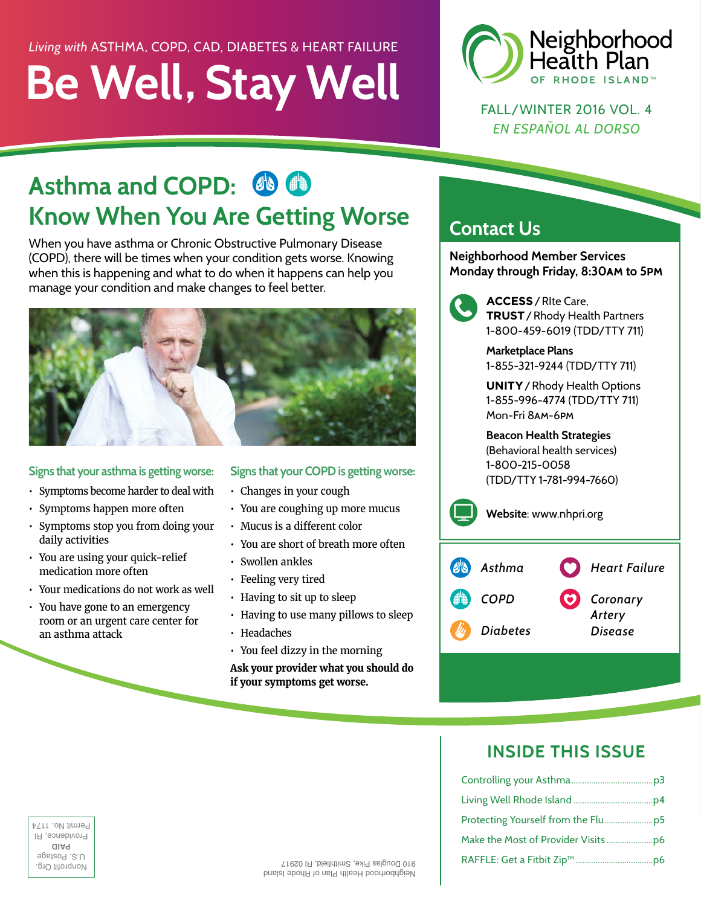# **Be Well, Stay Well** *Living with* ASTHMA, COPD, CAD, DIABETES & HEART FAILURE



FALL/WINTER 2016 VOL. 4 *EN ESPAÑOL AL DORSO*

# Asthma and COPD:  $\bigcirc$  **CD Know When You Are Getting Worse**

When you have asthma or Chronic Obstructive Pulmonary Disease (COPD), there will be times when your condition gets worse. Knowing when this is happening and what to do when it happens can help you manage your condition and make changes to feel better.



#### **Signs that your asthma is getting worse:**

- Symptoms become harder to deal with
- Symptoms happen more often
- Symptoms stop you from doing your daily activities
- You are using your quick-relief medication more often
- Your medications do not work as well
- You have gone to an emergency room or an urgent care center for an asthma attack

#### **Signs that your COPD is getting worse:**

- Changes in your cough
- You are coughing up more mucus
- Mucus is a different color
- You are short of breath more often
- Swollen ankles
- Feeling very tired
- Having to sit up to sleep
- Having to use many pillows to sleep
- Headaches
- You feel dizzy in the morning

**Ask your provider what you should do if your symptoms get worse.**

### **Contact Us**

**Neighborhood Member Services Monday through Friday, 8:30am to 5pm**



 **ACCESS**/RIte Care, **TRUST**/Rhody Health Partners 1-800-459-6019 (TDD/TTY 711)

**Marketplace Plans** 1-855-321-9244 (TDD/TTY 711)

**UNITY**/Rhody Health Options 1-855-996-4774 (TDD/TTY 711) Mon-Fri 8am-6pm

**Beacon Health Strategies** (Behavioral health services) 1-800-215-0058 (TDD/TTY 1-781-994-7660)

**Website**: www.nhpri.org

| <b>Compassion Asthma</b> | Heart Failure     |
|--------------------------|-------------------|
| 1999 COPD                | Coronary          |
| Diabetes                 | Artery<br>Disease |

### **INSIDE THIS ISSUE**

| <b>Permit No. 117</b>          |                                        |  |
|--------------------------------|----------------------------------------|--|
| Providence, R<br>alaq          |                                        |  |
| U.S. Postage<br>Nonprofit Urg. | 910 Douglas Pike, Smithfield, RI 02917 |  |

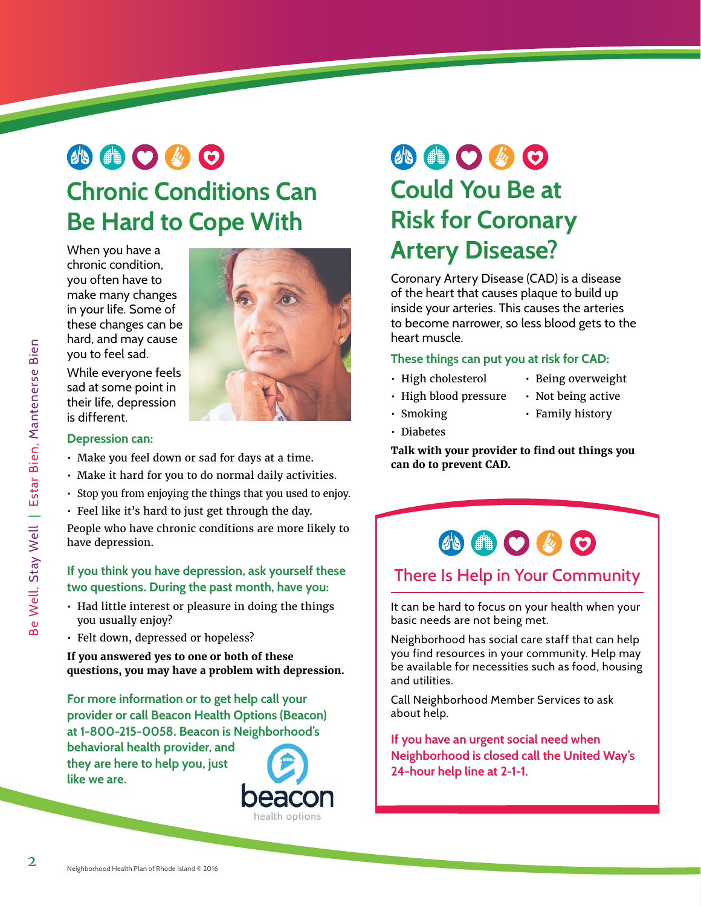# 小曲〇ん〇 **Chronic Conditions Can Be Hard to Cope With**

When you have a chronic condition, you often have to make many changes in your life. Some of these changes can be hard, and may cause you to feel sad.



While everyone feels sad at some point in their life, depression is different.

#### **Depression can:**

- Make you feel down or sad for days at a time.
- Make it hard for you to do normal daily activities.
- Stop you from enjoying the things that you used to enjoy.
- Feel like it's hard to just get through the day.

People who have chronic conditions are more likely to have depression.

#### **If you think you have depression, ask yourself these two questions. During the past month, have you:**

- Had little interest or pleasure in doing the things you usually enjoy?
- Felt down, depressed or hopeless?

**If you answered yes to one or both of these questions, you may have a problem with depression.** 

**For more information or to get help call your provider or call Beacon Health Options (Beacon) at 1-800-215-0058. Beacon is Neighborhood's** 

**behavioral health provider, and they are here to help you, just like we are.** 



# 小曲〇必〇 **Could You Be at Risk for Coronary Artery Disease?**

Coronary Artery Disease (CAD) is a disease of the heart that causes plaque to build up inside your arteries. This causes the arteries to become narrower, so less blood gets to the heart muscle.

#### **These things can put you at risk for CAD:**

- High cholesterol
- High blood pressure
- Being overweight • Not being active
- Smoking • Family history
	-
- Diabetes

**Talk with your provider to find out things you can do to prevent CAD.**



#### There Is Help in Your Community

It can be hard to focus on your health when your basic needs are not being met.

Neighborhood has social care staff that can help you find resources in your community. Help may be available for necessities such as food, housing and utilities.

Call Neighborhood Member Services to ask about help.

**If you have an urgent social need when Neighborhood is closed call the United Way's 24-hour help line at 2-1-1.**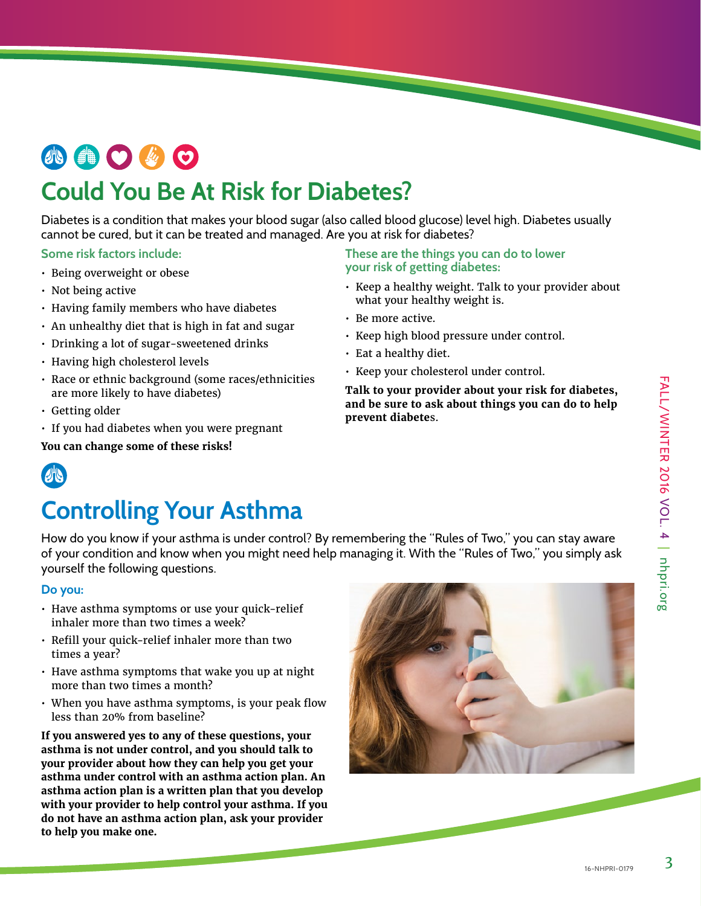# **AOOOO**

### **Could You Be At Risk for Diabetes?**

Diabetes is a condition that makes your blood sugar (also called blood glucose) level high. Diabetes usually cannot be cured, but it can be treated and managed. Are you at risk for diabetes?

#### **Some risk factors include:**

- Being overweight or obese
- Not being active
- Having family members who have diabetes
- An unhealthy diet that is high in fat and sugar
- Drinking a lot of sugar-sweetened drinks
- Having high cholesterol levels
- Race or ethnic background (some races/ethnicities are more likely to have diabetes)
- Getting older
- If you had diabetes when you were pregnant

#### **You can change some of these risks!**

#### **These are the things you can do to lower your risk of getting diabetes:**

- Keep a healthy weight. Talk to your provider about what your healthy weight is.
- Be more active.
- Keep high blood pressure under control.
- Eat a healthy diet.
- Keep your cholesterol under control.

**Talk to your provider about your risk for diabetes, and be sure to ask about things you can do to help prevent diabete**s.



## **Controlling Your Asthma**

How do you know if your asthma is under control? By remembering the "Rules of Two," you can stay aware of your condition and know when you might need help managing it. With the "Rules of Two," you simply ask yourself the following questions.

#### **Do you:**

- Have asthma symptoms or use your quick-relief inhaler more than two times a week?
- Refill your quick-relief inhaler more than two times a year?
- Have asthma symptoms that wake you up at night more than two times a month?
- When you have asthma symptoms, is your peak flow less than 20% from baseline?

**If you answered yes to any of these questions, your asthma is not under control, and you should talk to your provider about how they can help you get your asthma under control with an asthma action plan. An asthma action plan is a written plan that you develop with your provider to help control your asthma. If you do not have an asthma action plan, ask your provider to help you make one.**



3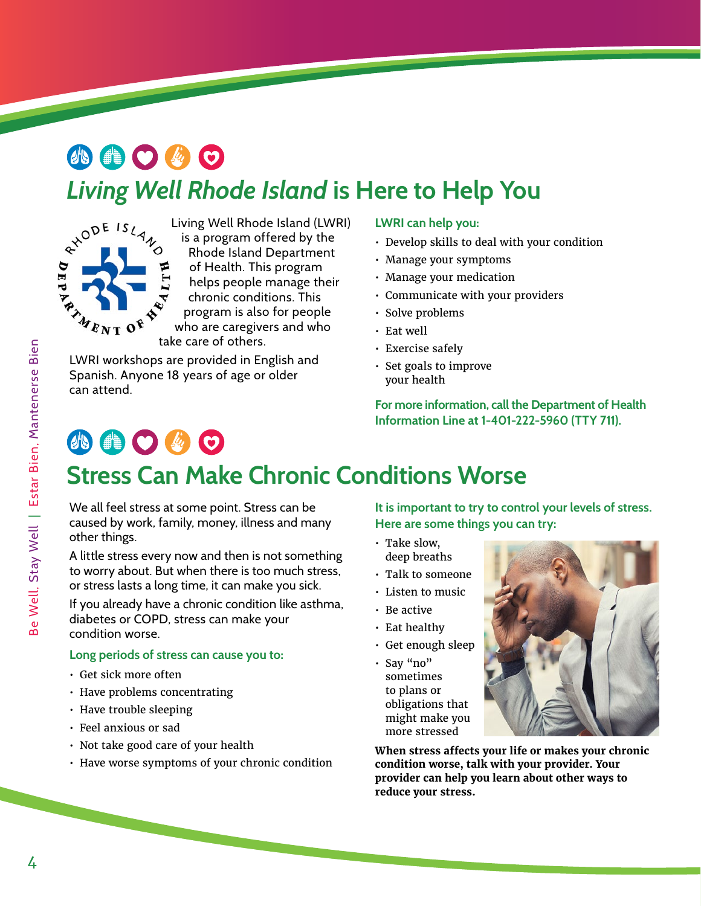# 小曲〇必〇



Living Well Rhode Island (LWRI) is a program offered by the Rhode Island Department of Health. This program helps people manage their chronic conditions. This program is also for people who are caregivers and who take care of others. **Living Well Rhode Island** is Here to Help You<br>  $x^{00^E 1s}$  Living Well Rhode Island (LWRI) LWRI can help you:<br>  $x^{00^E 1s}$  is a program offered by the<br>
Rhode Island Department<br>
of Health. This program<br>
thelps people man

LWRI workshops are provided in English and Spanish. Anyone 18 years of age or older can attend.

#### **LWRI can help you:**

- Develop skills to deal with your condition
- Manage your symptoms
- Manage your medication
- Communicate with your providers
- Solve problems
- Eat well
- Exercise safely
- Set goals to improve your health

**For more information, call the Department of Health Information Line at 1-401-222-5960 (TTY 711).**

### 小曲〇步〇 **Stress Can Make Chronic Conditions Worse**

We all feel stress at some point. Stress can be caused by work, family, money, illness and many other things.

A little stress every now and then is not something to worry about. But when there is too much stress, or stress lasts a long time, it can make you sick.

If you already have a chronic condition like asthma, diabetes or COPD, stress can make your condition worse.

#### **Long periods of stress can cause you to:**

- Get sick more often
- Have problems concentrating
- Have trouble sleeping
- Feel anxious or sad
- Not take good care of your health
- Have worse symptoms of your chronic condition

**It is important to try to control your levels of stress. Here are some things you can try:**

- Take slow, deep breaths
- Talk to someone
- Listen to music
- Be active
- Eat healthy
- Get enough sleep
- Say "no" sometimes to plans or obligations that might make you more stressed

**When stress affects your life or makes your chronic condition worse, talk with your provider. Your provider can help you learn about other ways to reduce your stress.**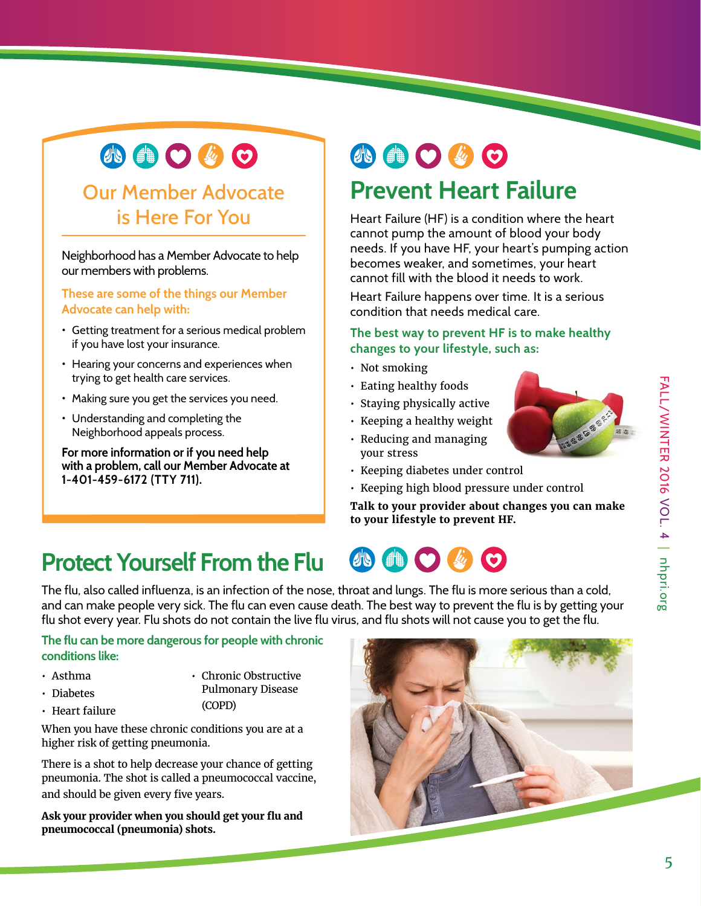# 小曲〇必〇

### Our Member Advocate is Here For You

Neighborhood has a Member Advocate to help our members with problems.

**These are some of the things our Member Advocate can help with:** 

- Getting treatment for a serious medical problem if you have lost your insurance.
- Hearing your concerns and experiences when trying to get health care services.
- Making sure you get the services you need.
- Understanding and completing the Neighborhood appeals process.

**For more information or if you need help with a problem, call our Member Advocate at 1-401-459-6172 (TTY 711).**

# **AOGO**

### **Prevent Heart Failure**

Heart Failure (HF) is a condition where the heart cannot pump the amount of blood your body needs. If you have HF, your heart's pumping action becomes weaker, and sometimes, your heart cannot fill with the blood it needs to work.

Heart Failure happens over time. It is a serious condition that needs medical care.

#### **The best way to prevent HF is to make healthy changes to your lifestyle, such as:**

- Not smoking
- Eating healthy foods
- Staying physically active
- Keeping a healthy weight
- Reducing and managing your stress
- Keeping diabetes under control
- Keeping high blood pressure under control

**Talk to your provider about changes you can make to your lifestyle to prevent HF.**

## **Protect Yourself From the Flu**

The flu, also called influenza, is an infection of the nose, throat and lungs. The flu is more serious than a cold, and can make people very sick. The flu can even cause death. The best way to prevent the flu is by getting your flu shot every year. Flu shots do not contain the live flu virus, and flu shots will not cause you to get the flu.

#### **The flu can be more dangerous for people with chronic conditions like:**

• Asthma • Diabetes

• Heart failure

• Chronic Obstructive Pulmonary Disease

(COPD)

When you have these chronic conditions you are at a higher risk of getting pneumonia.

There is a shot to help decrease your chance of getting pneumonia. The shot is called a pneumococcal vaccine, and should be given every five years.

**Ask your provider when you should get your flu and pneumococcal (pneumonia) shots.**